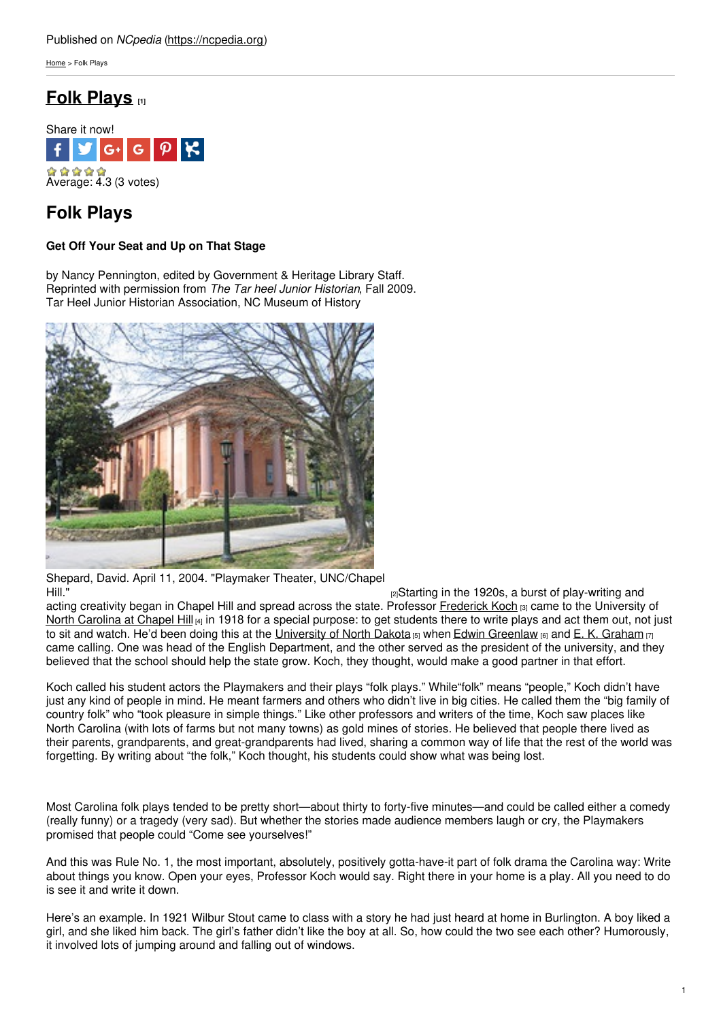[Home](https://ncpedia.org/) > Folk Plays

# **Folk [Plays](https://ncpedia.org/culture/performing-arts/folk-plays) [1]**



# **Folk Plays**

## **Get Off Your Seat and Up on That Stage**

by Nancy Pennington, edited by Government & Heritage Library Staff. Reprinted with permission from *The Tar heel Junior Historian*, Fall 2009. Tar Heel Junior Historian Association, NC Museum of History



Shepard, David. April 11, 2004. "Playmaker Theater, UNC/Chapel

 $_{[2]}$ Starting in the 1920s, a burst of play-writing and acting creativity began in Chapel Hill and spread across the state. Professor [Frederick](http://www.lib.unc.edu/mss/inv/k/Koch,Frederick_H.html) Koch [3] came to the University of North [Carolina](https://www.unc.edu/) at Chapel Hill  $\mu_1$  in 1918 for a special purpose: to get students there to write plays and act them out, not just to sit and watch. He'd been doing this at the [University](http://und.edu/) of North Dakota [5] when Edwin [Greenlaw](http://museum.unc.edu/exhibits/names/edwin-greenlaw-1874-1931-and-greenlaw-hall/) [6] and E. K. [Graham](http://www.ibiblio.org/cemetery/university/ekgraham.html) [7] came calling. One was head of the English Department, and the other served as the president of the university, and they believed that the school should help the state grow. Koch, they thought, would make a good partner in that effort.

Koch called his student actors the Playmakers and their plays "folk plays." While"folk" means "people," Koch didn't have just any kind of people in mind. He meant farmers and others who didn't live in big cities. He called them the "big family of country folk" who "took pleasure in simple things." Like other professors and writers of the time, Koch saw places like North Carolina (with lots of farms but not many towns) as gold mines of stories. He believed that people there lived as their parents, grandparents, and great-grandparents had lived, sharing a common way of life that the rest of the world was forgetting. By writing about "the folk," Koch thought, his students could show what was being lost.

Most Carolina folk plays tended to be pretty short—about thirty to forty-five minutes—and could be called either a comedy (really funny) or a tragedy (very sad). But whether the stories made audience members laugh or cry, the Playmakers promised that people could "Come see yourselves!"

And this was Rule No. 1, the most important, absolutely, positively gotta-have-it part of folk drama the Carolina way: Write about things you know. Open your eyes, Professor Koch would say. Right there in your home is a play. All you need to do is see it and write it down.

Here's an example. In 1921 Wilbur Stout came to class with a story he had just heard at home in Burlington. A boy liked a girl, and she liked him back. The girl's father didn't like the boy at all. So, how could the two see each other? Humorously, it involved lots of jumping around and falling out of windows.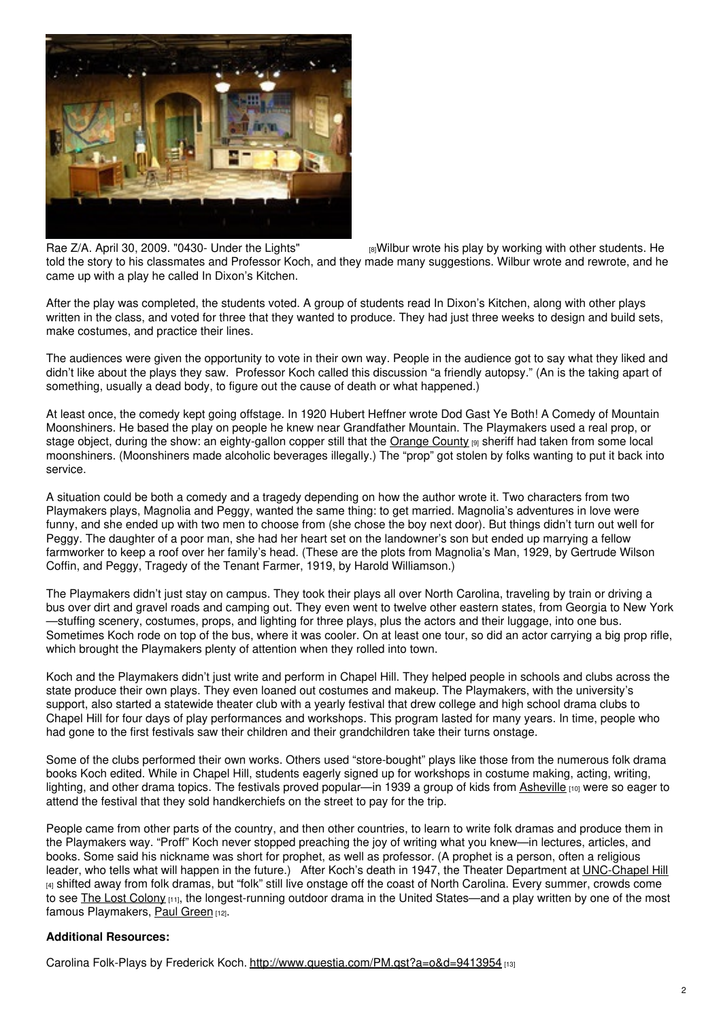

Rae Z/A. April 30, 2009. "0430- Under the [Lights"](https://www.flickr.com/photos/rszalley/3502619001/) [8] [8]Wilbur wrote his play by working with other students. He told the story to his classmates and Professor Koch, and they made many suggestions. Wilbur wrote and rewrote, and he came up with a play he called In Dixon's Kitchen.

After the play was completed, the students voted. A group of students read In Dixon's Kitchen, along with other plays written in the class, and voted for three that they wanted to produce. They had just three weeks to design and build sets, make costumes, and practice their lines.

The audiences were given the opportunity to vote in their own way. People in the audience got to say what they liked and didn't like about the plays they saw. Professor Koch called this discussion "a friendly autopsy." (An is the taking apart of something, usually a dead body, to figure out the cause of death or what happened.)

At least once, the comedy kept going offstage. In 1920 Hubert Heffner wrote Dod Gast Ye Both! A Comedy of Mountain Moonshiners. He based the play on people he knew near Grandfather Mountain. The Playmakers used a real prop, or stage object, during the show: an eighty-gallon copper still that the [Orange](https://ncpedia.org/geography/orange) County [9] sheriff had taken from some local moonshiners. (Moonshiners made alcoholic beverages illegally.) The "prop" got stolen by folks wanting to put it back into service.

A situation could be both a comedy and a tragedy depending on how the author wrote it. Two characters from two Playmakers plays, Magnolia and Peggy, wanted the same thing: to get married. Magnolia's adventures in love were funny, and she ended up with two men to choose from (she chose the boy next door). But things didn't turn out well for Peggy. The daughter of a poor man, she had her heart set on the landowner's son but ended up marrying a fellow farmworker to keep a roof over her family's head. (These are the plots from Magnolia's Man, 1929, by Gertrude Wilson Coffin, and Peggy, Tragedy of the Tenant Farmer, 1919, by Harold Williamson.)

The Playmakers didn't just stay on campus. They took their plays all over North Carolina, traveling by train or driving a bus over dirt and gravel roads and camping out. They even went to twelve other eastern states, from Georgia to New York —stuffing scenery, costumes, props, and lighting for three plays, plus the actors and their luggage, into one bus. Sometimes Koch rode on top of the bus, where it was cooler. On at least one tour, so did an actor carrying a big prop rifle, which brought the Playmakers plenty of attention when they rolled into town.

Koch and the Playmakers didn't just write and perform in Chapel Hill. They helped people in schools and clubs across the state produce their own plays. They even loaned out costumes and makeup. The Playmakers, with the university's support, also started a statewide theater club with a yearly festival that drew college and high school drama clubs to Chapel Hill for four days of play performances and workshops. This program lasted for many years. In time, people who had gone to the first festivals saw their children and their grandchildren take their turns onstage.

Some of the clubs performed their own works. Others used "store-bought" plays like those from the numerous folk drama books Koch edited. While in Chapel Hill, students eagerly signed up for workshops in costume making, acting, writing, lighting, and other drama topics. The festivals proved popular—in 1939 a group of kids from **[Asheville](https://ncpedia.org/geography/asheville)** [10] were so eager to attend the festival that they sold handkerchiefs on the street to pay for the trip.

People came from other parts of the country, and then other countries, to learn to write folk dramas and produce them in the Playmakers way. "Proff" Koch never stopped preaching the joy of writing what you knew—in lectures, articles, and books. Some said his nickname was short for prophet, as well as professor. (A prophet is a person, often a religious leader, who tells what will happen in the future.) After Koch's death in 1947, the Theater Department at [UNC-Chapel](https://www.unc.edu/) Hill [4] shifted away from folk dramas, but "folk" still live onstage off the coast of North Carolina. Every summer, crowds come to see The Lost [Colony](https://ncpedia.org/culture/performing-arts/lost-colony-play) [11], the longest-running outdoor drama in the United States—and a play written by one of the most famous Playmakers, Paul [Green](http://uncpress.unc.edu/books/T-6155.html) [12].

### **Additional Resources:**

Carolina Folk-Plays by Frederick Koch. <http://www.questia.com/PM.qst?a=o&d=9413954> [13]